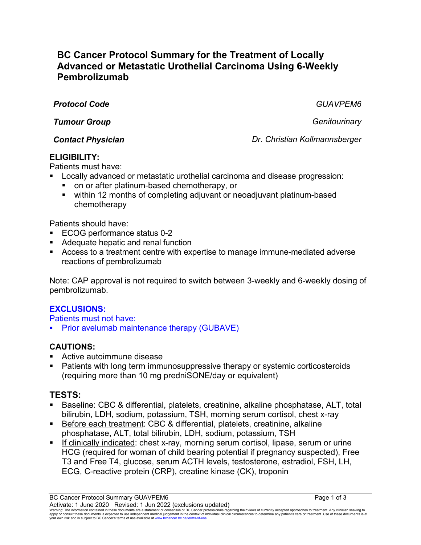# **BC Cancer Protocol Summary for the Treatment of Locally Advanced or Metastatic Urothelial Carcinoma Using 6-Weekly Pembrolizumab**

*Protocol Code GUAVPEM6*

*Tumour Group Genitourinary*

*Contact Physician Dr. Christian Kollmannsberger*

## **ELIGIBILITY:**

Patients must have:

- Locally advanced or metastatic urothelial carcinoma and disease progression:
	- on or after platinum-based chemotherapy, or
	- within 12 months of completing adjuvant or neoadjuvant platinum-based chemotherapy

Patients should have:

- ECOG performance status 0-2
- Adequate hepatic and renal function
- Access to a treatment centre with expertise to manage immune-mediated adverse reactions of pembrolizumab

Note: CAP approval is not required to switch between 3-weekly and 6-weekly dosing of pembrolizumab.

## **EXCLUSIONS:**

Patients must not have:

**Prior avelumab maintenance therapy (GUBAVE)** 

#### **CAUTIONS:**

- Active autoimmune disease
- Patients with long term immunosuppressive therapy or systemic corticosteroids (requiring more than 10 mg predniSONE/day or equivalent)

## **TESTS:**

- Baseline: CBC & differential, platelets, creatinine, alkaline phosphatase, ALT, total bilirubin, LDH, sodium, potassium, TSH, morning serum cortisol, chest x-ray
- Before each treatment: CBC & differential, platelets, creatinine, alkaline phosphatase, ALT, total bilirubin, LDH, sodium, potassium, TSH
- **If clinically indicated: chest x-ray, morning serum cortisol, lipase, serum or urine** HCG (required for woman of child bearing potential if pregnancy suspected), Free T3 and Free T4, glucose, serum ACTH levels, testosterone, estradiol, FSH, LH, ECG, C-reactive protein (CRP), creatine kinase (CK), troponin

BC Cancer Protocol Summary GUAVPEM6 **Page 1 of 3** Page 1 of 3 Activate: 1 June 2020 Revised: 1 Jun 2022 (exclusions updated)

Warning: The information contained in these documents are a statement of consensus of BC Cancer professionals regarding their views of currently accepted approaches to treatment. Any clinician seeking to<br>apply or consult t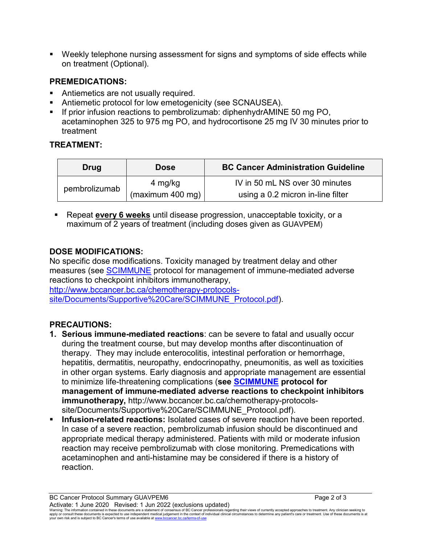Weekly telephone nursing assessment for signs and symptoms of side effects while on treatment (Optional).

#### **PREMEDICATIONS:**

- Antiemetics are not usually required.
- Antiemetic protocol for low emetogenicity (see SCNAUSEA).
- If prior infusion reactions to pembrolizumab: diphenhydrAMINE 50 mg PO, acetaminophen 325 to 975 mg PO, and hydrocortisone 25 mg IV 30 minutes prior to treatment

## **TREATMENT:**

| Drug          | Dose             | <b>BC Cancer Administration Guideline</b> |
|---------------|------------------|-------------------------------------------|
| pembrolizumab | 4 mg/kg          | IV in 50 mL NS over 30 minutes            |
|               | (maximum 400 mg) | using a 0.2 micron in-line filter         |

 Repeat **every 6 weeks** until disease progression, unacceptable toxicity, or a maximum of 2 years of treatment (including doses given as GUAVPEM)

#### **DOSE MODIFICATIONS:**

No specific dose modifications. Toxicity managed by treatment delay and other measures (see [SCIMMUNE](http://www.bccancer.bc.ca/chemotherapy-protocols-site/Documents/Supportive%20Care/SCIMMUNE_Protocol.pdf) protocol for management of immune-mediated adverse reactions to checkpoint inhibitors immunotherapy,

[http://www.bccancer.bc.ca/chemotherapy-protocols](http://www.bccancer.bc.ca/chemotherapy-protocols-site/Documents/Supportive%20Care/SCIMMUNE_Protocol.pdf)[site/Documents/Supportive%20Care/SCIMMUNE\\_Protocol.pdf\)](http://www.bccancer.bc.ca/chemotherapy-protocols-site/Documents/Supportive%20Care/SCIMMUNE_Protocol.pdf).

## **PRECAUTIONS:**

- **1. Serious immune-mediated reactions**: can be severe to fatal and usually occur during the treatment course, but may develop months after discontinuation of therapy. They may include enterocolitis, intestinal perforation or hemorrhage, hepatitis, dermatitis, neuropathy, endocrinopathy, pneumonitis, as well as toxicities in other organ systems. Early diagnosis and appropriate management are essential to minimize life-threatening complications (**see [SCIMMUNE](http://www.bccancer.bc.ca/chemotherapy-protocols-site/Documents/Supportive%20Care/SCIMMUNE_Protocol.pdf) protocol for management of immune-mediated adverse reactions to checkpoint inhibitors immunotherapy,** http://www.bccancer.bc.ca/chemotherapy-protocolssite/Documents/Supportive%20Care/SCIMMUNE\_Protocol.pdf).
- **Infusion-related reactions:** Isolated cases of severe reaction have been reported. In case of a severe reaction, pembrolizumab infusion should be discontinued and appropriate medical therapy administered. Patients with mild or moderate infusion reaction may receive pembrolizumab with close monitoring. Premedications with acetaminophen and anti-histamine may be considered if there is a history of reaction.

BC Cancer Protocol Summary GUAVPEM6 **Page 2 of 3** Page 2 of 3 Activate: 1 June 2020 Revised: 1 Jun 2022 (exclusions updated)

Warning: The information contained in these documents are a statement of consensus of BC Cancer professionals regarding their views of currently accepted approaches to treatment. Any clinician seeking to<br>apply or consult t